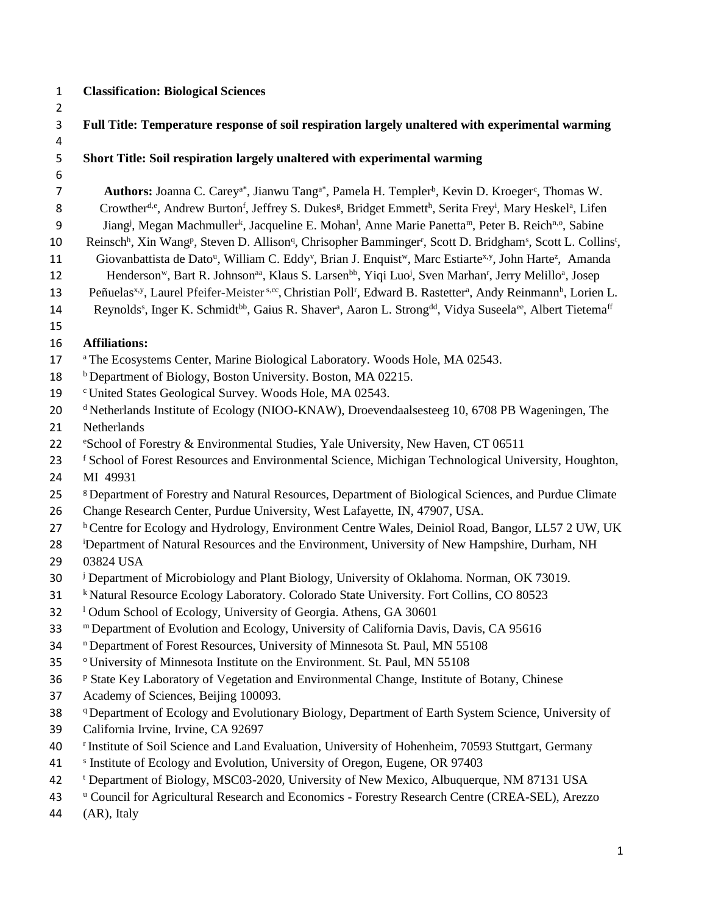## 1 **Classification: Biological Sciences**

| $\overline{2}$ |                                                                                                                                                                                      |
|----------------|--------------------------------------------------------------------------------------------------------------------------------------------------------------------------------------|
| 3              | Full Title: Temperature response of soil respiration largely unaltered with experimental warming                                                                                     |
| 4              |                                                                                                                                                                                      |
| 5              | Short Title: Soil respiration largely unaltered with experimental warming                                                                                                            |
| 6<br>7         | Authors: Joanna C. Carey <sup>a*</sup> , Jianwu Tang <sup>a*</sup> , Pamela H. Templer <sup>b</sup> , Kevin D. Kroeger <sup>c</sup> , Thomas W.                                      |
| 8              | Crowther <sup>d,e</sup> , Andrew Burton <sup>f</sup> , Jeffrey S. Dukes <sup>g</sup> , Bridget Emmett <sup>h</sup> , Serita Frey <sup>i</sup> , Mary Heskel <sup>a</sup> , Lifen     |
| 9              | Jiang <sup>j</sup> , Megan Machmuller <sup>k</sup> , Jacqueline E. Mohan <sup>1</sup> , Anne Marie Panetta <sup>m</sup> , Peter B. Reich <sup>n,o</sup> , Sabine                     |
| 10             | Reinsch <sup>h</sup> , Xin Wang <sup>p</sup> , Steven D. Allison <sup>q</sup> , Chrisopher Bamminger <sup>r</sup> , Scott D. Bridgham <sup>s</sup> , Scott L. Collins <sup>t</sup> , |
| 11             | Giovanbattista de Dato <sup>u</sup> , William C. Eddy <sup>v</sup> , Brian J. Enquist <sup>w</sup> , Marc Estiarte <sup>x, y</sup> , John Harte <sup>z</sup> , Amanda                |
| 12             | Henderson <sup>w</sup> , Bart R. Johnson <sup>aa</sup> , Klaus S. Larsen <sup>bb</sup> , Yiqi Luo <sup>j</sup> , Sven Marhan <sup>r</sup> , Jerry Melillo <sup>a</sup> , Josep       |
| 13             | Peñuelas <sup>x,y</sup> , Laurel Pfeifer-Meister <sup>s,cc</sup> , Christian Poll <sup>r</sup> , Edward B. Rastetter <sup>a</sup> , Andy Reinmann <sup>b</sup> , Lorien L.           |
| 14             | Reynolds <sup>s</sup> , Inger K. Schmidt <sup>bb</sup> , Gaius R. Shaver <sup>a</sup> , Aaron L. Strong <sup>dd</sup> , Vidya Suseela <sup>ee</sup> , Albert Tietema <sup>ff</sup>   |
| 15             |                                                                                                                                                                                      |
| 16             | <b>Affiliations:</b>                                                                                                                                                                 |
| 17             | <sup>a</sup> The Ecosystems Center, Marine Biological Laboratory. Woods Hole, MA 02543.                                                                                              |
| 18             | <sup>b</sup> Department of Biology, Boston University. Boston, MA 02215.                                                                                                             |
| 19             | <sup>c</sup> United States Geological Survey. Woods Hole, MA 02543.                                                                                                                  |
| 20             | <sup>d</sup> Netherlands Institute of Ecology (NIOO-KNAW), Droevendaalsesteeg 10, 6708 PB Wageningen, The                                                                            |
| 21             | Netherlands                                                                                                                                                                          |
| 22             | <sup>e</sup> School of Forestry & Environmental Studies, Yale University, New Haven, CT 06511                                                                                        |
| 23             | <sup>f</sup> School of Forest Resources and Environmental Science, Michigan Technological University, Houghton,                                                                      |
| 24             | MI 49931                                                                                                                                                                             |
| 25             | <sup>g</sup> Department of Forestry and Natural Resources, Department of Biological Sciences, and Purdue Climate                                                                     |
| 26             | Change Research Center, Purdue University, West Lafayette, IN, 47907, USA.                                                                                                           |
| 27             | <sup>h</sup> Centre for Ecology and Hydrology, Environment Centre Wales, Deiniol Road, Bangor, LL57 2 UW, UK                                                                         |
| 28             | <sup>i</sup> Department of Natural Resources and the Environment, University of New Hampshire, Durham, NH                                                                            |
| 29             | 03824 USA                                                                                                                                                                            |
| 30             | <sup>j</sup> Department of Microbiology and Plant Biology, University of Oklahoma. Norman, OK 73019.                                                                                 |
| 31             | <sup>k</sup> Natural Resource Ecology Laboratory. Colorado State University. Fort Collins, CO 80523                                                                                  |
| 32             | <sup>1</sup> Odum School of Ecology, University of Georgia. Athens, GA 30601                                                                                                         |
| 33             | m Department of Evolution and Ecology, University of California Davis, Davis, CA 95616                                                                                               |
| 34             | <sup>n</sup> Department of Forest Resources, University of Minnesota St. Paul, MN 55108                                                                                              |
| 35             | <sup>o</sup> University of Minnesota Institute on the Environment. St. Paul, MN 55108                                                                                                |
| 36             | P State Key Laboratory of Vegetation and Environmental Change, Institute of Botany, Chinese                                                                                          |
| 37             | Academy of Sciences, Beijing 100093.                                                                                                                                                 |
| 38             | <sup>q</sup> Department of Ecology and Evolutionary Biology, Department of Earth System Science, University of                                                                       |
| 39             | California Irvine, Irvine, CA 92697                                                                                                                                                  |
| 40             | <sup>r</sup> Institute of Soil Science and Land Evaluation, University of Hohenheim, 70593 Stuttgart, Germany                                                                        |
| 41             | <sup>s</sup> Institute of Ecology and Evolution, University of Oregon, Eugene, OR 97403                                                                                              |
| 42             | <sup>t</sup> Department of Biology, MSC03-2020, University of New Mexico, Albuquerque, NM 87131 USA                                                                                  |
| 43             | <sup>u</sup> Council for Agricultural Research and Economics - Forestry Research Centre (CREA-SEL), Arezzo                                                                           |
| 44             | (AR), Italy                                                                                                                                                                          |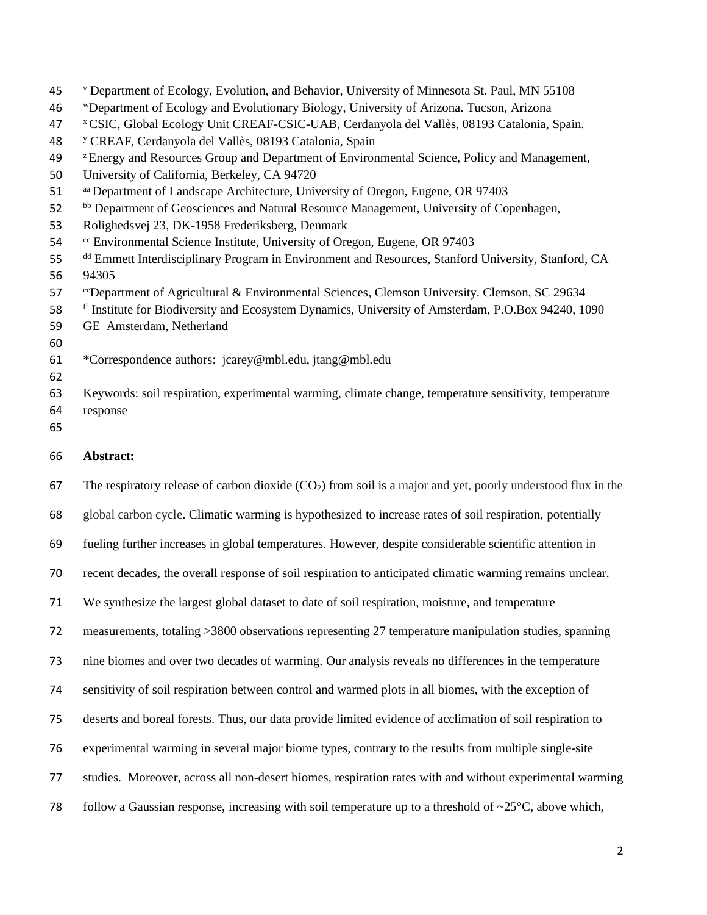| 45       | <sup>v</sup> Department of Ecology, Evolution, and Behavior, University of Minnesota St. Paul, MN 55108       |
|----------|---------------------------------------------------------------------------------------------------------------|
| 46       | "Department of Ecology and Evolutionary Biology, University of Arizona. Tucson, Arizona                       |
| 47       | <sup>x</sup> CSIC, Global Ecology Unit CREAF-CSIC-UAB, Cerdanyola del Vallès, 08193 Catalonia, Spain.         |
| 48       | <sup>y</sup> CREAF, Cerdanyola del Vallès, 08193 Catalonia, Spain                                             |
| 49       | <sup>z</sup> Energy and Resources Group and Department of Environmental Science, Policy and Management,       |
| 50       | University of California, Berkeley, CA 94720                                                                  |
| 51       | aa Department of Landscape Architecture, University of Oregon, Eugene, OR 97403                               |
| 52       | bb Department of Geosciences and Natural Resource Management, University of Copenhagen,                       |
| 53       | Rolighedsvej 23, DK-1958 Frederiksberg, Denmark                                                               |
| 54       | <sup>cc</sup> Environmental Science Institute, University of Oregon, Eugene, OR 97403                         |
| 55<br>56 | dd Emmett Interdisciplinary Program in Environment and Resources, Stanford University, Stanford, CA<br>94305  |
| 57       | e Department of Agricultural & Environmental Sciences, Clemson University. Clemson, SC 29634                  |
| 58       | <sup>ff</sup> Institute for Biodiversity and Ecosystem Dynamics, University of Amsterdam, P.O.Box 94240, 1090 |
| 59       | GE Amsterdam, Netherland                                                                                      |
| 60       |                                                                                                               |
| 61       | *Correspondence authors: jcarey@mbl.edu, jtang@mbl.edu                                                        |
| 62       |                                                                                                               |
| 63       | Keywords: soil respiration, experimental warming, climate change, temperature sensitivity, temperature        |
| 64       | response                                                                                                      |
| 65       |                                                                                                               |
| 66       | Abstract:                                                                                                     |
| 67       | The respiratory release of carbon dioxide $(CO2)$ from soil is a major and yet, poorly understood flux in the |
| 68       | global carbon cycle. Climatic warming is hypothesized to increase rates of soil respiration, potentially      |
| 69       | fueling further increases in global temperatures. However, despite considerable scientific attention in       |
| 70       | recent decades, the overall response of soil respiration to anticipated climatic warming remains unclear.     |
| 71       | We synthesize the largest global dataset to date of soil respiration, moisture, and temperature               |
| 72       | measurements, totaling >3800 observations representing 27 temperature manipulation studies, spanning          |
| 73       | nine biomes and over two decades of warming. Our analysis reveals no differences in the temperature           |
| 74       | sensitivity of soil respiration between control and warmed plots in all biomes, with the exception of         |
|          |                                                                                                               |
| 75       | deserts and boreal forests. Thus, our data provide limited evidence of acclimation of soil respiration to     |

- studies. Moreover, across all non-desert biomes, respiration rates with and without experimental warming
- 78 follow a Gaussian response, increasing with soil temperature up to a threshold of  $\sim$ 25°C, above which,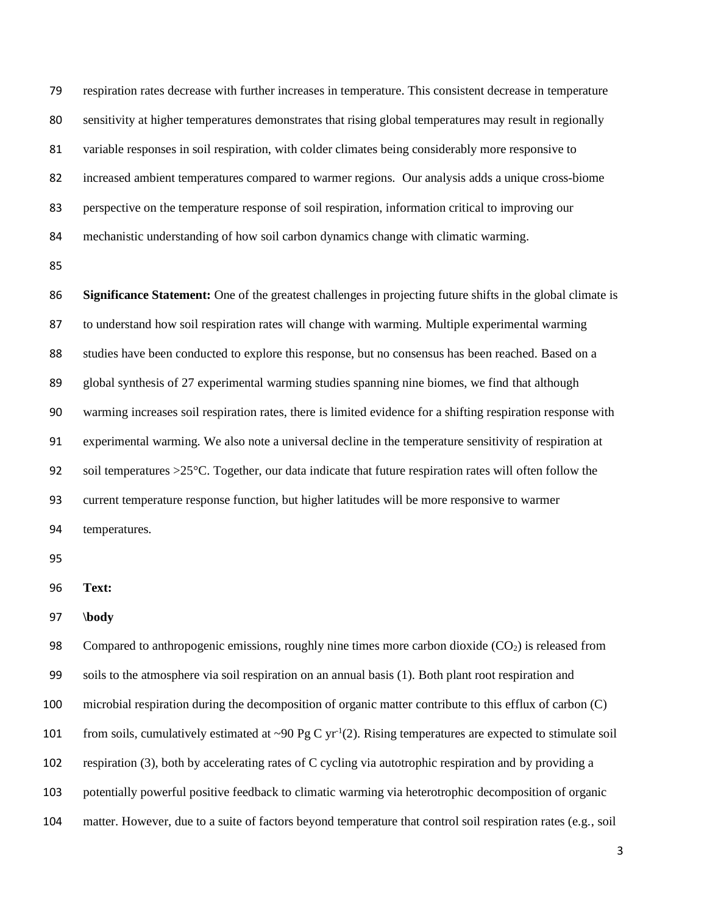respiration rates decrease with further increases in temperature. This consistent decrease in temperature sensitivity at higher temperatures demonstrates that rising global temperatures may result in regionally variable responses in soil respiration, with colder climates being considerably more responsive to increased ambient temperatures compared to warmer regions. Our analysis adds a unique cross-biome perspective on the temperature response of soil respiration, information critical to improving our mechanistic understanding of how soil carbon dynamics change with climatic warming.

 **Significance Statement:** One of the greatest challenges in projecting future shifts in the global climate is to understand how soil respiration rates will change with warming. Multiple experimental warming studies have been conducted to explore this response, but no consensus has been reached. Based on a global synthesis of 27 experimental warming studies spanning nine biomes, we find that although warming increases soil respiration rates, there is limited evidence for a shifting respiration response with experimental warming. We also note a universal decline in the temperature sensitivity of respiration at 92 soil temperatures >25°C. Together, our data indicate that future respiration rates will often follow the current temperature response function, but higher latitudes will be more responsive to warmer temperatures.

**Text:**

**\body**

98 Compared to anthropogenic emissions, roughly nine times more carbon dioxide (CO<sub>2</sub>) is released from soils to the atmosphere via soil respiration on an annual basis (1). Both plant root respiration and microbial respiration during the decomposition of organic matter contribute to this efflux of carbon (C) from soils, cumulatively estimated at  $\sim 90 \text{ Pg C yr}^1(2)$ . Rising temperatures are expected to stimulate soil respiration (3), both by accelerating rates of C cycling via autotrophic respiration and by providing a potentially powerful positive feedback to climatic warming via heterotrophic decomposition of organic matter. However, due to a suite of factors beyond temperature that control soil respiration rates (e.g., soil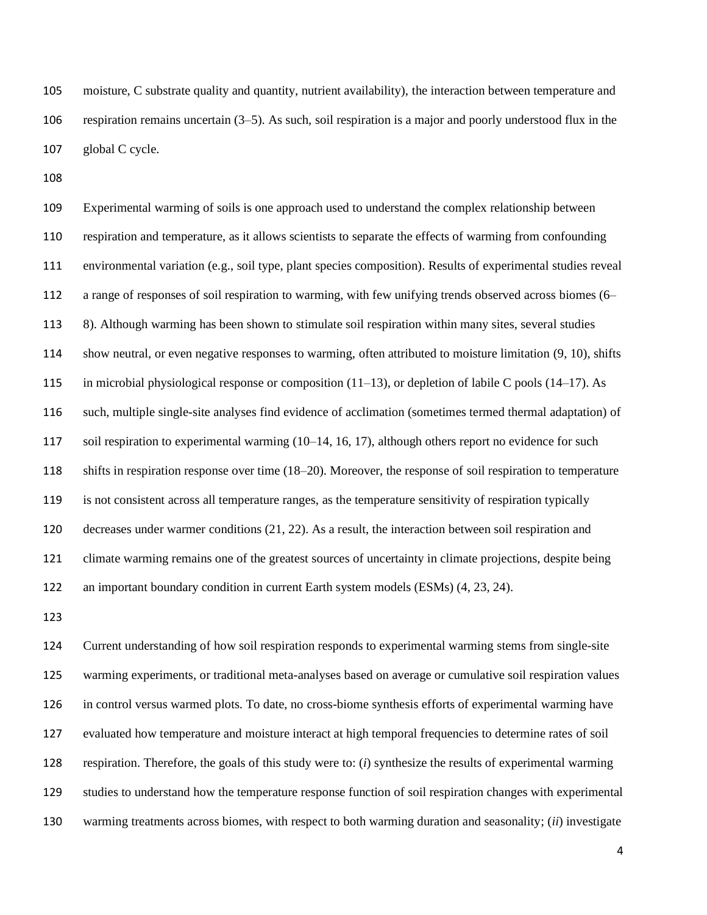moisture, C substrate quality and quantity, nutrient availability), the interaction between temperature and respiration remains uncertain (3–5). As such, soil respiration is a major and poorly understood flux in the global C cycle.

 Experimental warming of soils is one approach used to understand the complex relationship between respiration and temperature, as it allows scientists to separate the effects of warming from confounding environmental variation (e.g., soil type, plant species composition). Results of experimental studies reveal a range of responses of soil respiration to warming, with few unifying trends observed across biomes (6– 8). Although warming has been shown to stimulate soil respiration within many sites, several studies show neutral, or even negative responses to warming, often attributed to moisture limitation (9, 10), shifts in microbial physiological response or composition (11–13), or depletion of labile C pools (14–17). As such, multiple single-site analyses find evidence of acclimation (sometimes termed thermal adaptation) of soil respiration to experimental warming (10–14, 16, 17), although others report no evidence for such shifts in respiration response over time (18–20). Moreover, the response of soil respiration to temperature is not consistent across all temperature ranges, as the temperature sensitivity of respiration typically decreases under warmer conditions (21, 22). As a result, the interaction between soil respiration and climate warming remains one of the greatest sources of uncertainty in climate projections, despite being an important boundary condition in current Earth system models (ESMs) (4, 23, 24).

 Current understanding of how soil respiration responds to experimental warming stems from single-site warming experiments, or traditional meta-analyses based on average or cumulative soil respiration values in control versus warmed plots. To date, no cross-biome synthesis efforts of experimental warming have evaluated how temperature and moisture interact at high temporal frequencies to determine rates of soil respiration. Therefore, the goals of this study were to: (*i*) synthesize the results of experimental warming studies to understand how the temperature response function of soil respiration changes with experimental warming treatments across biomes, with respect to both warming duration and seasonality; (*ii*) investigate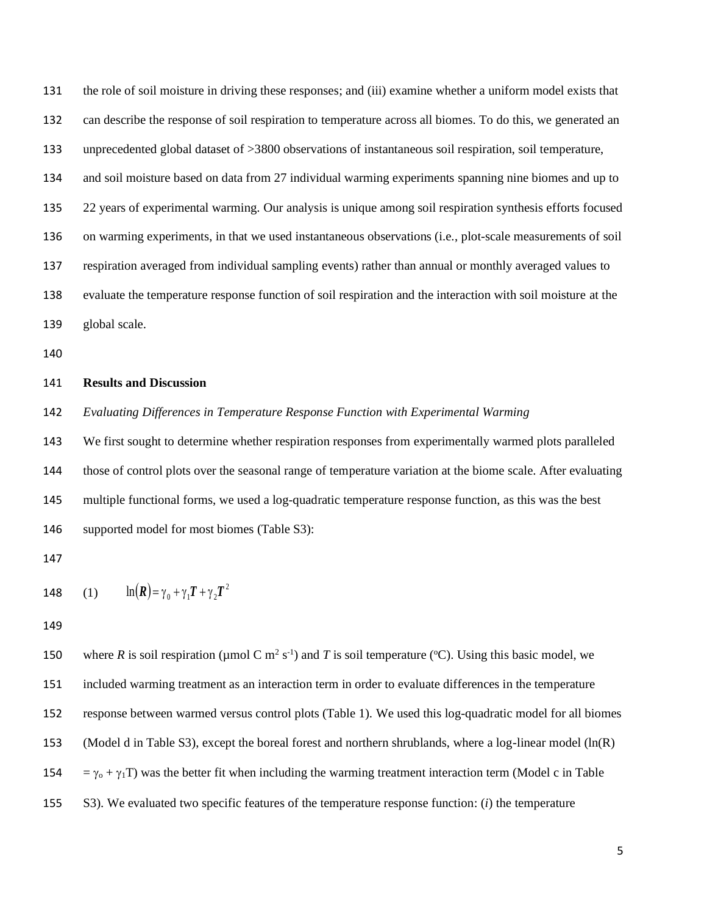the role of soil moisture in driving these responses; and (iii) examine whether a uniform model exists that can describe the response of soil respiration to temperature across all biomes. To do this, we generated an unprecedented global dataset of >3800 observations of instantaneous soil respiration, soil temperature, and soil moisture based on data from 27 individual warming experiments spanning nine biomes and up to 22 years of experimental warming. Our analysis is unique among soil respiration synthesis efforts focused on warming experiments, in that we used instantaneous observations (i.e., plot-scale measurements of soil respiration averaged from individual sampling events) rather than annual or monthly averaged values to evaluate the temperature response function of soil respiration and the interaction with soil moisture at the global scale.

### **Results and Discussion**

*Evaluating Differences in Temperature Response Function with Experimental Warming*

 We first sought to determine whether respiration responses from experimentally warmed plots paralleled those of control plots over the seasonal range of temperature variation at the biome scale. After evaluating multiple functional forms, we used a log-quadratic temperature response function, as this was the best supported model for most biomes (Table S3):

148 (1) 
$$
\ln(R) = \gamma_0 + \gamma_1 T + \gamma_2 T^2
$$

150 where *R* is soil respiration (µmol C m<sup>2</sup> s<sup>-1</sup>) and *T* is soil temperature (°C). Using this basic model, we included warming treatment as an interaction term in order to evaluate differences in the temperature response between warmed versus control plots (Table 1). We used this log-quadratic model for all biomes (Model d in Table S3), except the boreal forest and northern shrublands, where a log-linear model (ln(R) 154 =  $\gamma_0$  +  $\gamma_1$ T) was the better fit when including the warming treatment interaction term (Model c in Table S3). We evaluated two specific features of the temperature response function: (*i*) the temperature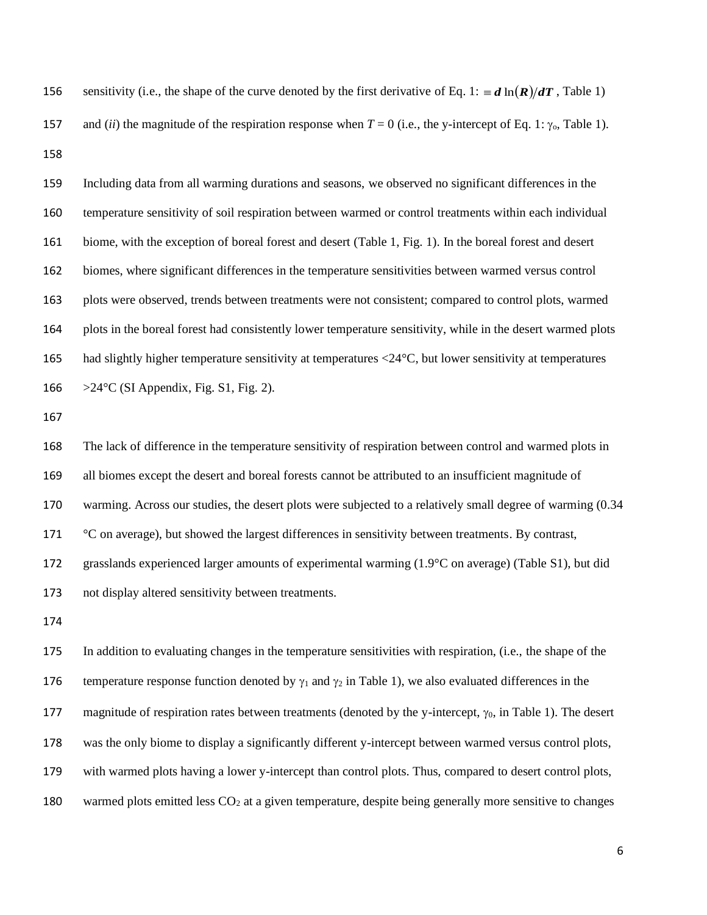156 sensitivity (i.e., the shape of the curve denoted by the first derivative of Eq. 1:  $\equiv d \ln(R)/dT$ , Table 1) 157 and *(ii)* the magnitude of the respiration response when  $T = 0$  (i.e., the y-intercept of Eq. 1:  $\gamma_0$ , Table 1). 

 Including data from all warming durations and seasons, we observed no significant differences in the temperature sensitivity of soil respiration between warmed or control treatments within each individual biome, with the exception of boreal forest and desert (Table 1, Fig. 1). In the boreal forest and desert biomes, where significant differences in the temperature sensitivities between warmed versus control plots were observed, trends between treatments were not consistent; compared to control plots, warmed plots in the boreal forest had consistently lower temperature sensitivity, while in the desert warmed plots had slightly higher temperature sensitivity at temperatures <24°C, but lower sensitivity at temperatures  $>24^{\circ}$ C (SI Appendix, Fig. S1, Fig. 2).

 The lack of difference in the temperature sensitivity of respiration between control and warmed plots in all biomes except the desert and boreal forests cannot be attributed to an insufficient magnitude of warming. Across our studies, the desert plots were subjected to a relatively small degree of warming (0.34 °C on average), but showed the largest differences in sensitivity between treatments. By contrast, grasslands experienced larger amounts of experimental warming (1.9°C on average) (Table S1), but did not display altered sensitivity between treatments.

 In addition to evaluating changes in the temperature sensitivities with respiration, (i.e., the shape of the 176 temperature response function denoted by  $\gamma_1$  and  $\gamma_2$  in Table 1), we also evaluated differences in the 177 magnitude of respiration rates between treatments (denoted by the y-intercept,  $\gamma_0$ , in Table 1). The desert was the only biome to display a significantly different y-intercept between warmed versus control plots, with warmed plots having a lower y-intercept than control plots. Thus, compared to desert control plots, 180 warmed plots emitted less  $CO<sub>2</sub>$  at a given temperature, despite being generally more sensitive to changes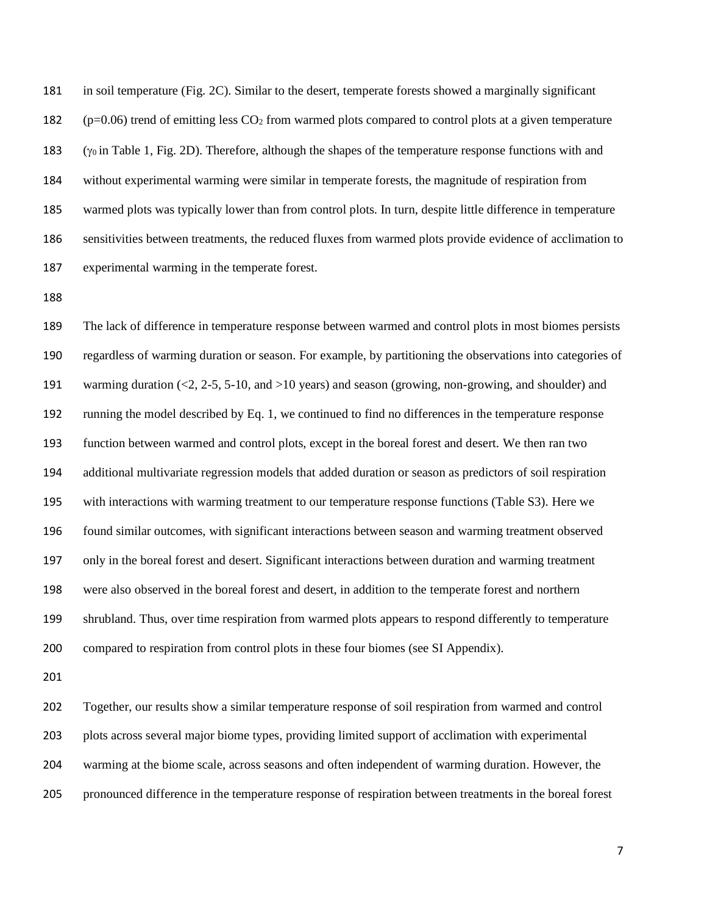in soil temperature (Fig. 2C). Similar to the desert, temperate forests showed a marginally significant 182 ( $p=0.06$ ) trend of emitting less  $CO<sub>2</sub>$  from warmed plots compared to control plots at a given temperature  $(y_0$  in Table 1, Fig. 2D). Therefore, although the shapes of the temperature response functions with and without experimental warming were similar in temperate forests, the magnitude of respiration from warmed plots was typically lower than from control plots. In turn, despite little difference in temperature sensitivities between treatments, the reduced fluxes from warmed plots provide evidence of acclimation to experimental warming in the temperate forest.

 The lack of difference in temperature response between warmed and control plots in most biomes persists regardless of warming duration or season. For example, by partitioning the observations into categories of warming duration (<2, 2-5, 5-10, and >10 years) and season (growing, non-growing, and shoulder) and running the model described by Eq. 1, we continued to find no differences in the temperature response function between warmed and control plots, except in the boreal forest and desert. We then ran two additional multivariate regression models that added duration or season as predictors of soil respiration with interactions with warming treatment to our temperature response functions (Table S3). Here we found similar outcomes, with significant interactions between season and warming treatment observed only in the boreal forest and desert. Significant interactions between duration and warming treatment were also observed in the boreal forest and desert, in addition to the temperate forest and northern shrubland. Thus, over time respiration from warmed plots appears to respond differently to temperature compared to respiration from control plots in these four biomes (see SI Appendix).

 Together, our results show a similar temperature response of soil respiration from warmed and control plots across several major biome types, providing limited support of acclimation with experimental warming at the biome scale, across seasons and often independent of warming duration. However, the pronounced difference in the temperature response of respiration between treatments in the boreal forest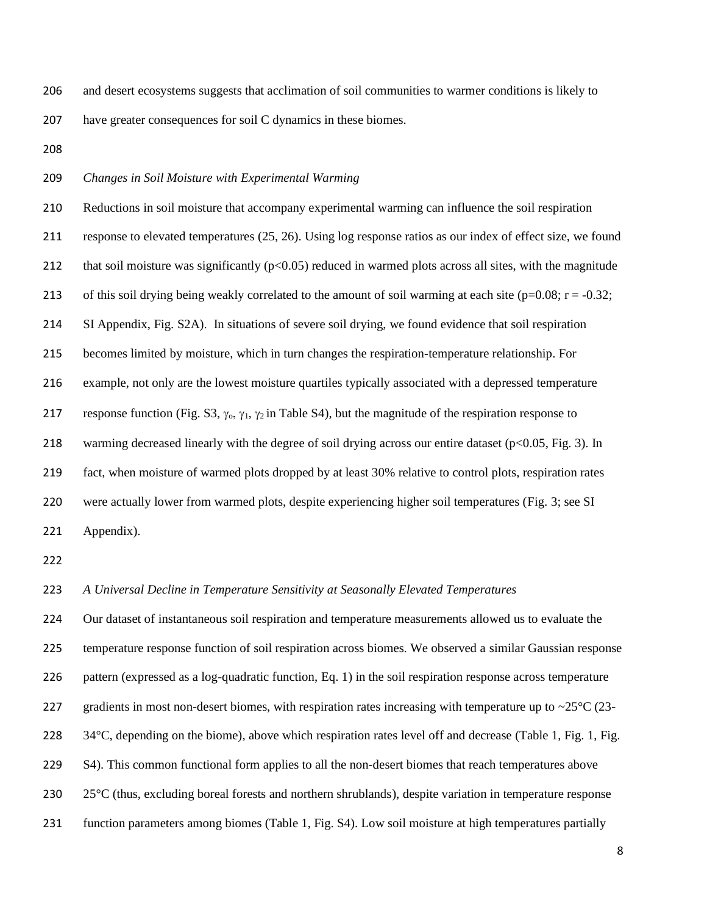and desert ecosystems suggests that acclimation of soil communities to warmer conditions is likely to have greater consequences for soil C dynamics in these biomes.

### *Changes in Soil Moisture with Experimental Warming*

 Reductions in soil moisture that accompany experimental warming can influence the soil respiration response to elevated temperatures (25, 26). Using log response ratios as our index of effect size, we found 212 that soil moisture was significantly  $(p<0.05)$  reduced in warmed plots across all sites, with the magnitude 213 of this soil drying being weakly correlated to the amount of soil warming at each site ( $p=0.08$ ;  $r = -0.32$ ; SI Appendix, Fig. S2A). In situations of severe soil drying, we found evidence that soil respiration becomes limited by moisture, which in turn changes the respiration-temperature relationship. For example, not only are the lowest moisture quartiles typically associated with a depressed temperature 217 response function (Fig. S3,  $\gamma_0$ ,  $\gamma_1$ ,  $\gamma_2$  in Table S4), but the magnitude of the respiration response to 218 warming decreased linearly with the degree of soil drying across our entire dataset (p<0.05, Fig. 3). In fact, when moisture of warmed plots dropped by at least 30% relative to control plots, respiration rates were actually lower from warmed plots, despite experiencing higher soil temperatures (Fig. 3; see SI Appendix).

#### *A Universal Decline in Temperature Sensitivity at Seasonally Elevated Temperatures*

 Our dataset of instantaneous soil respiration and temperature measurements allowed us to evaluate the temperature response function of soil respiration across biomes. We observed a similar Gaussian response pattern (expressed as a log-quadratic function, Eq. 1) in the soil respiration response across temperature 227 gradients in most non-desert biomes, with respiration rates increasing with temperature up to  $\sim$ 25 $\degree$ C (23-228 34°C, depending on the biome), above which respiration rates level off and decrease (Table 1, Fig. 1, Fig. S4). This common functional form applies to all the non-desert biomes that reach temperatures above 25°C (thus, excluding boreal forests and northern shrublands), despite variation in temperature response function parameters among biomes (Table 1, Fig. S4). Low soil moisture at high temperatures partially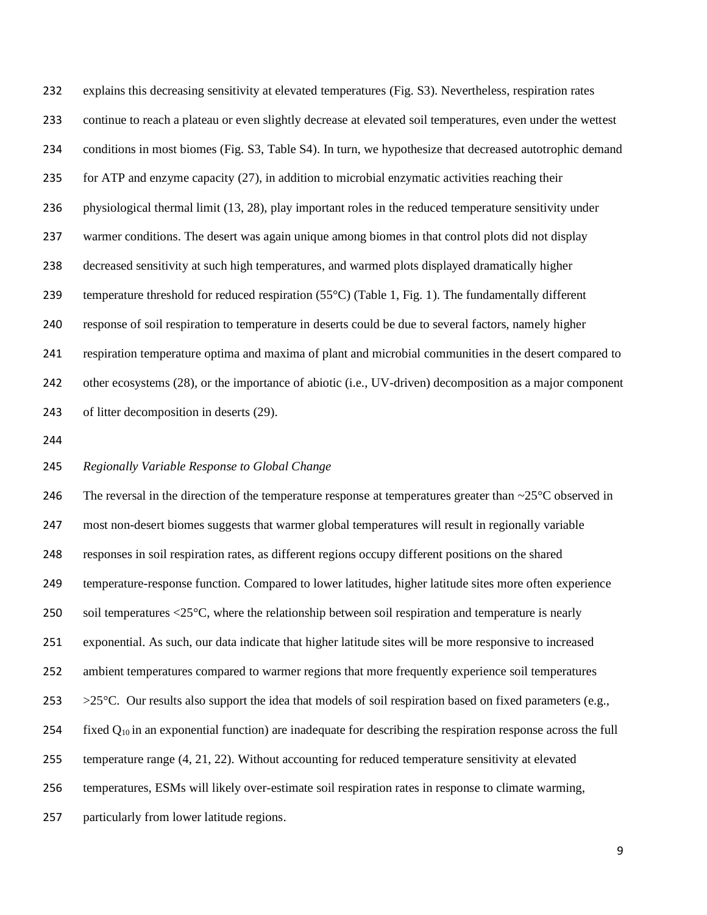explains this decreasing sensitivity at elevated temperatures (Fig. S3). Nevertheless, respiration rates continue to reach a plateau or even slightly decrease at elevated soil temperatures, even under the wettest conditions in most biomes (Fig. S3, Table S4). In turn, we hypothesize that decreased autotrophic demand for ATP and enzyme capacity (27), in addition to microbial enzymatic activities reaching their physiological thermal limit (13, 28), play important roles in the reduced temperature sensitivity under warmer conditions. The desert was again unique among biomes in that control plots did not display decreased sensitivity at such high temperatures, and warmed plots displayed dramatically higher 239 temperature threshold for reduced respiration  $(55^{\circ}C)$  (Table 1, Fig. 1). The fundamentally different response of soil respiration to temperature in deserts could be due to several factors, namely higher respiration temperature optima and maxima of plant and microbial communities in the desert compared to other ecosystems (28), or the importance of abiotic (i.e., UV-driven) decomposition as a major component of litter decomposition in deserts (29).

### *Regionally Variable Response to Global Change*

246 The reversal in the direction of the temperature response at temperatures greater than  $\sim$ 25 $\degree$ C observed in most non-desert biomes suggests that warmer global temperatures will result in regionally variable responses in soil respiration rates, as different regions occupy different positions on the shared temperature-response function. Compared to lower latitudes, higher latitude sites more often experience soil temperatures <25°C, where the relationship between soil respiration and temperature is nearly exponential. As such, our data indicate that higher latitude sites will be more responsive to increased ambient temperatures compared to warmer regions that more frequently experience soil temperatures  $>25^{\circ}$ C. Our results also support the idea that models of soil respiration based on fixed parameters (e.g., 254 fixed  $Q_{10}$  in an exponential function) are inadequate for describing the respiration response across the full temperature range (4, 21, 22). Without accounting for reduced temperature sensitivity at elevated temperatures, ESMs will likely over-estimate soil respiration rates in response to climate warming, particularly from lower latitude regions.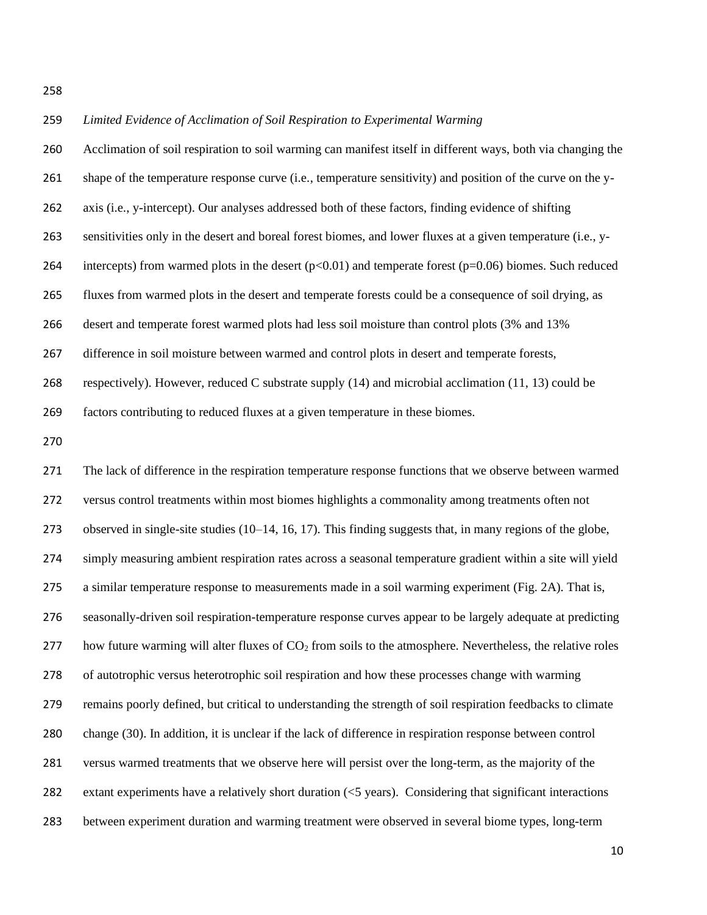# *Limited Evidence of Acclimation of Soil Respiration to Experimental Warming* Acclimation of soil respiration to soil warming can manifest itself in different ways, both via changing the shape of the temperature response curve (i.e., temperature sensitivity) and position of the curve on the y- axis (i.e., y-intercept). Our analyses addressed both of these factors, finding evidence of shifting sensitivities only in the desert and boreal forest biomes, and lower fluxes at a given temperature (i.e., y-264 intercepts) from warmed plots in the desert  $(p<0.01)$  and temperate forest  $(p=0.06)$  biomes. Such reduced fluxes from warmed plots in the desert and temperate forests could be a consequence of soil drying, as desert and temperate forest warmed plots had less soil moisture than control plots (3% and 13% difference in soil moisture between warmed and control plots in desert and temperate forests, respectively). However, reduced C substrate supply (14) and microbial acclimation (11, 13) could be factors contributing to reduced fluxes at a given temperature in these biomes. The lack of difference in the respiration temperature response functions that we observe between warmed versus control treatments within most biomes highlights a commonality among treatments often not observed in single-site studies (10–14, 16, 17). This finding suggests that, in many regions of the globe, simply measuring ambient respiration rates across a seasonal temperature gradient within a site will yield a similar temperature response to measurements made in a soil warming experiment (Fig. 2A). That is, seasonally-driven soil respiration-temperature response curves appear to be largely adequate at predicting 277 how future warming will alter fluxes of  $CO<sub>2</sub>$  from soils to the atmosphere. Nevertheless, the relative roles of autotrophic versus heterotrophic soil respiration and how these processes change with warming remains poorly defined, but critical to understanding the strength of soil respiration feedbacks to climate change (30). In addition, it is unclear if the lack of difference in respiration response between control versus warmed treatments that we observe here will persist over the long-term, as the majority of the

extant experiments have a relatively short duration (<5 years). Considering that significant interactions

between experiment duration and warming treatment were observed in several biome types, long-term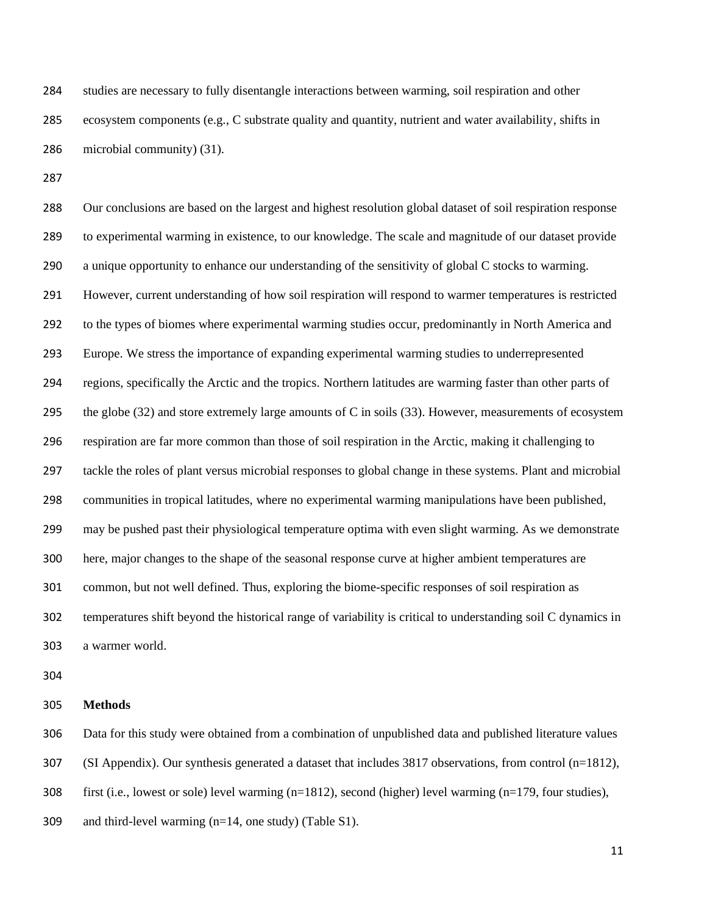studies are necessary to fully disentangle interactions between warming, soil respiration and other ecosystem components (e.g., C substrate quality and quantity, nutrient and water availability, shifts in microbial community) (31).

 Our conclusions are based on the largest and highest resolution global dataset of soil respiration response to experimental warming in existence, to our knowledge. The scale and magnitude of our dataset provide a unique opportunity to enhance our understanding of the sensitivity of global C stocks to warming. However, current understanding of how soil respiration will respond to warmer temperatures is restricted to the types of biomes where experimental warming studies occur, predominantly in North America and Europe. We stress the importance of expanding experimental warming studies to underrepresented regions, specifically the Arctic and the tropics. Northern latitudes are warming faster than other parts of the globe (32) and store extremely large amounts of C in soils (33). However, measurements of ecosystem respiration are far more common than those of soil respiration in the Arctic, making it challenging to tackle the roles of plant versus microbial responses to global change in these systems. Plant and microbial communities in tropical latitudes, where no experimental warming manipulations have been published, may be pushed past their physiological temperature optima with even slight warming. As we demonstrate here, major changes to the shape of the seasonal response curve at higher ambient temperatures are common, but not well defined. Thus, exploring the biome-specific responses of soil respiration as temperatures shift beyond the historical range of variability is critical to understanding soil C dynamics in a warmer world.

### **Methods**

 Data for this study were obtained from a combination of unpublished data and published literature values (SI Appendix). Our synthesis generated a dataset that includes 3817 observations, from control (n=1812), first (i.e., lowest or sole) level warming (n=1812), second (higher) level warming (n=179, four studies), and third-level warming (n=14, one study) (Table S1).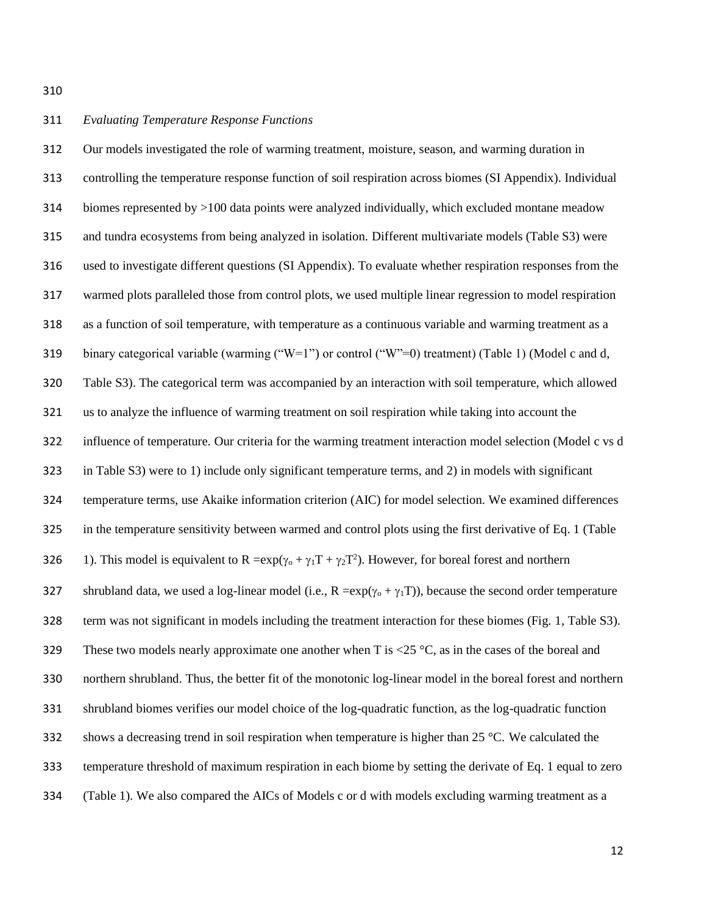### *Evaluating Temperature Response Functions*

 Our models investigated the role of warming treatment, moisture, season, and warming duration in controlling the temperature response function of soil respiration across biomes (SI Appendix). Individual biomes represented by >100 data points were analyzed individually, which excluded montane meadow and tundra ecosystems from being analyzed in isolation. Different multivariate models (Table S3) were used to investigate different questions (SI Appendix). To evaluate whether respiration responses from the warmed plots paralleled those from control plots, we used multiple linear regression to model respiration as a function of soil temperature, with temperature as a continuous variable and warming treatment as a 319 binary categorical variable (warming  $("W=1")$  or control  $("W"=0)$  treatment) (Table 1) (Model c and d, Table S3). The categorical term was accompanied by an interaction with soil temperature, which allowed us to analyze the influence of warming treatment on soil respiration while taking into account the influence of temperature. Our criteria for the warming treatment interaction model selection (Model c vs d in Table S3) were to 1) include only significant temperature terms, and 2) in models with significant temperature terms, use Akaike information criterion (AIC) for model selection. We examined differences in the temperature sensitivity between warmed and control plots using the first derivative of Eq. 1 (Table 326 1). This model is equivalent to R = $\exp(\gamma_0 + \gamma_1 T + \gamma_2 T^2)$ . However, for boreal forest and northern 327 shrubland data, we used a log-linear model (i.e.,  $R = exp(y_0 + y_1T)$ ), because the second order temperature term was not significant in models including the treatment interaction for these biomes (Fig. 1, Table S3). 329 These two models nearly approximate one another when T is  $\langle 25 \,^{\circ} \text{C}$ , as in the cases of the boreal and northern shrubland. Thus, the better fit of the monotonic log-linear model in the boreal forest and northern shrubland biomes verifies our model choice of the log-quadratic function, as the log-quadratic function shows a decreasing trend in soil respiration when temperature is higher than 25 °C. We calculated the temperature threshold of maximum respiration in each biome by setting the derivate of Eq. 1 equal to zero (Table 1). We also compared the AICs of Models c or d with models excluding warming treatment as a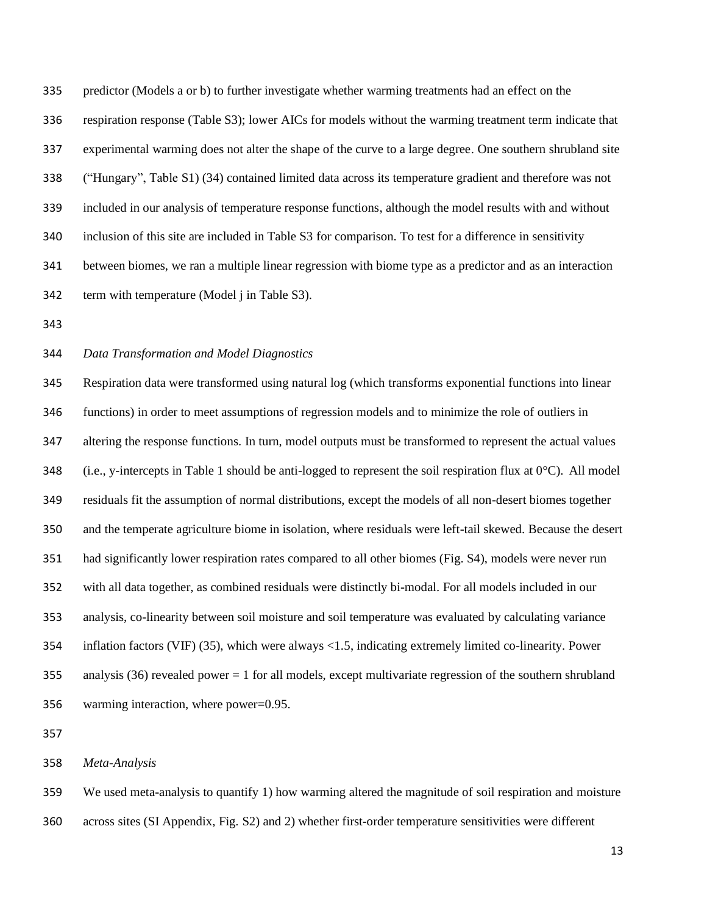predictor (Models a or b) to further investigate whether warming treatments had an effect on the respiration response (Table S3); lower AICs for models without the warming treatment term indicate that experimental warming does not alter the shape of the curve to a large degree. One southern shrubland site ("Hungary", Table S1) (34) contained limited data across its temperature gradient and therefore was not included in our analysis of temperature response functions, although the model results with and without inclusion of this site are included in Table S3 for comparison. To test for a difference in sensitivity between biomes, we ran a multiple linear regression with biome type as a predictor and as an interaction term with temperature (Model j in Table S3).

### *Data Transformation and Model Diagnostics*

 Respiration data were transformed using natural log (which transforms exponential functions into linear functions) in order to meet assumptions of regression models and to minimize the role of outliers in altering the response functions. In turn, model outputs must be transformed to represent the actual values 348 (i.e., y-intercepts in Table 1 should be anti-logged to represent the soil respiration flux at  $0^{\circ}$ C). All model residuals fit the assumption of normal distributions, except the models of all non-desert biomes together and the temperate agriculture biome in isolation, where residuals were left-tail skewed. Because the desert had significantly lower respiration rates compared to all other biomes (Fig. S4), models were never run with all data together, as combined residuals were distinctly bi-modal. For all models included in our analysis, co-linearity between soil moisture and soil temperature was evaluated by calculating variance inflation factors (VIF) (35), which were always <1.5, indicating extremely limited co-linearity. Power analysis (36) revealed power = 1 for all models, except multivariate regression of the southern shrubland warming interaction, where power=0.95.

### *Meta-Analysis*

 We used meta-analysis to quantify 1) how warming altered the magnitude of soil respiration and moisture across sites (SI Appendix, Fig. S2) and 2) whether first-order temperature sensitivities were different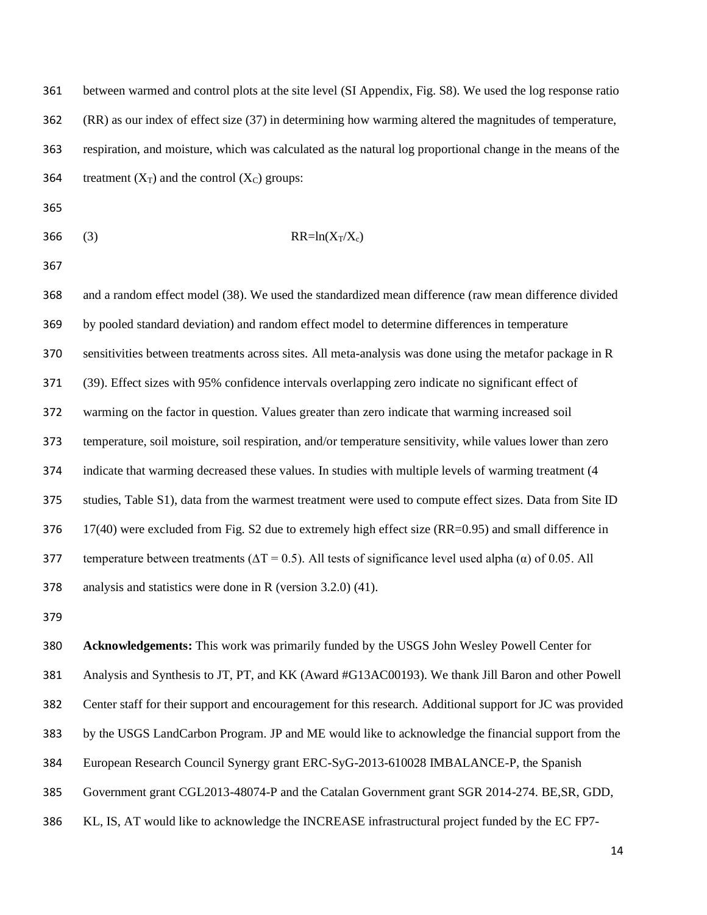between warmed and control plots at the site level (SI Appendix, Fig. S8). We used the log response ratio (RR) as our index of effect size (37) in determining how warming altered the magnitudes of temperature, respiration, and moisture, which was calculated as the natural log proportional change in the means of the 364 treatment  $(X_T)$  and the control  $(X_C)$  groups:

- 
- 366 (3) RR=ln(X<sub>T</sub>/X<sub>c</sub>)

 and a random effect model (38). We used the standardized mean difference (raw mean difference divided by pooled standard deviation) and random effect model to determine differences in temperature sensitivities between treatments across sites. All meta-analysis was done using the metafor package in R (39). Effect sizes with 95% confidence intervals overlapping zero indicate no significant effect of warming on the factor in question. Values greater than zero indicate that warming increased soil temperature, soil moisture, soil respiration, and/or temperature sensitivity, while values lower than zero indicate that warming decreased these values. In studies with multiple levels of warming treatment (4 studies, Table S1), data from the warmest treatment were used to compute effect sizes. Data from Site ID 17(40) were excluded from Fig. S2 due to extremely high effect size (RR=0.95) and small difference in 377 temperature between treatments ( $\Delta T = 0.5$ ). All tests of significance level used alpha ( $\alpha$ ) of 0.05. All analysis and statistics were done in R (version 3.2.0) (41).

 **Acknowledgements:** This work was primarily funded by the USGS John Wesley Powell Center for Analysis and Synthesis to JT, PT, and KK (Award #G13AC00193). We thank Jill Baron and other Powell Center staff for their support and encouragement for this research. Additional support for JC was provided by the USGS LandCarbon Program. JP and ME would like to acknowledge the financial support from the European Research Council Synergy grant ERC-SyG-2013-610028 IMBALANCE-P, the Spanish Government grant CGL2013-48074-P and the Catalan Government grant SGR 2014-274. BE,SR, GDD,

KL, IS, AT would like to acknowledge the INCREASE infrastructural project funded by the EC FP7-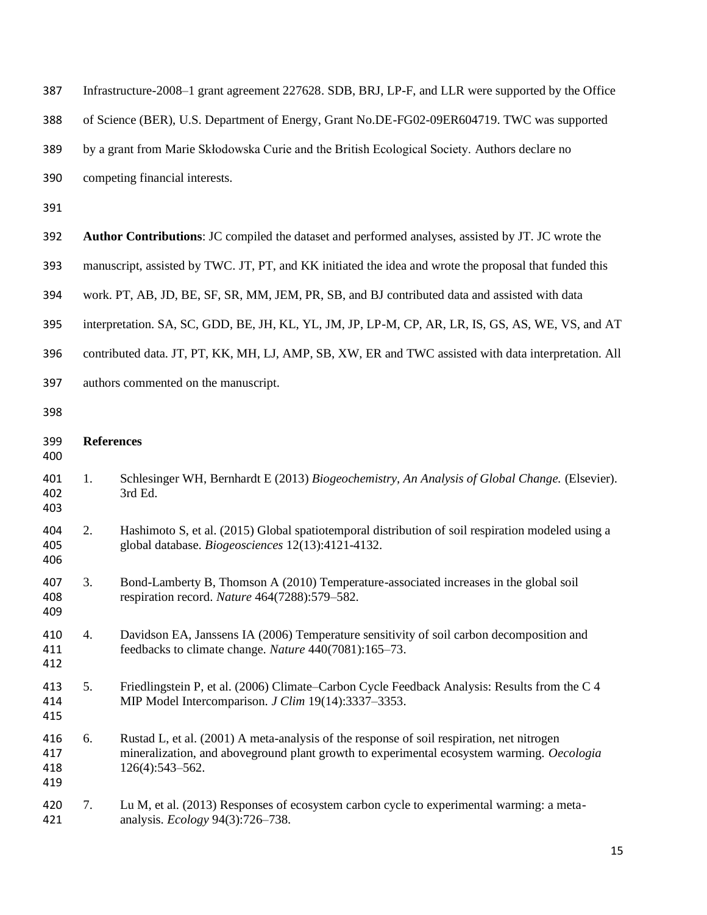| 387                      | Infrastructure-2008–1 grant agreement 227628. SDB, BRJ, LP-F, and LLR were supported by the Office     |                                                                                                                                                                                                           |  |
|--------------------------|--------------------------------------------------------------------------------------------------------|-----------------------------------------------------------------------------------------------------------------------------------------------------------------------------------------------------------|--|
| 388                      | of Science (BER), U.S. Department of Energy, Grant No.DE-FG02-09ER604719. TWC was supported            |                                                                                                                                                                                                           |  |
| 389                      | by a grant from Marie Skłodowska Curie and the British Ecological Society. Authors declare no          |                                                                                                                                                                                                           |  |
| 390                      | competing financial interests.                                                                         |                                                                                                                                                                                                           |  |
| 391                      |                                                                                                        |                                                                                                                                                                                                           |  |
| 392                      |                                                                                                        | <b>Author Contributions:</b> JC compiled the dataset and performed analyses, assisted by JT. JC wrote the                                                                                                 |  |
| 393                      | manuscript, assisted by TWC. JT, PT, and KK initiated the idea and wrote the proposal that funded this |                                                                                                                                                                                                           |  |
| 394                      | work. PT, AB, JD, BE, SF, SR, MM, JEM, PR, SB, and BJ contributed data and assisted with data          |                                                                                                                                                                                                           |  |
| 395                      | interpretation. SA, SC, GDD, BE, JH, KL, YL, JM, JP, LP-M, CP, AR, LR, IS, GS, AS, WE, VS, and AT      |                                                                                                                                                                                                           |  |
| 396                      | contributed data. JT, PT, KK, MH, LJ, AMP, SB, XW, ER and TWC assisted with data interpretation. All   |                                                                                                                                                                                                           |  |
| 397                      | authors commented on the manuscript.                                                                   |                                                                                                                                                                                                           |  |
| 398                      |                                                                                                        |                                                                                                                                                                                                           |  |
| 399<br>400               | <b>References</b>                                                                                      |                                                                                                                                                                                                           |  |
| 401<br>402<br>403        | 1.                                                                                                     | Schlesinger WH, Bernhardt E (2013) Biogeochemistry, An Analysis of Global Change. (Elsevier).<br>3rd Ed.                                                                                                  |  |
| 404<br>405<br>406        | 2.                                                                                                     | Hashimoto S, et al. (2015) Global spatiotemporal distribution of soil respiration modeled using a<br>global database. Biogeosciences 12(13):4121-4132.                                                    |  |
| 407<br>408<br>409        | 3.                                                                                                     | Bond-Lamberty B, Thomson A (2010) Temperature-associated increases in the global soil<br>respiration record. Nature 464(7288):579-582.                                                                    |  |
| 410<br>411<br>412        | 4.                                                                                                     | Davidson EA, Janssens IA (2006) Temperature sensitivity of soil carbon decomposition and<br>feedbacks to climate change. Nature 440(7081):165-73.                                                         |  |
| 413<br>414<br>415        | 5.                                                                                                     | Friedlingstein P, et al. (2006) Climate–Carbon Cycle Feedback Analysis: Results from the C 4<br>MIP Model Intercomparison. J Clim 19(14):3337-3353.                                                       |  |
| 416<br>417<br>418<br>419 | 6.                                                                                                     | Rustad L, et al. (2001) A meta-analysis of the response of soil respiration, net nitrogen<br>mineralization, and aboveground plant growth to experimental ecosystem warming. Oecologia<br>126(4):543-562. |  |
| 420<br>421               | 7.                                                                                                     | Lu M, et al. (2013) Responses of ecosystem carbon cycle to experimental warming: a meta-<br>analysis. Ecology 94(3):726-738.                                                                              |  |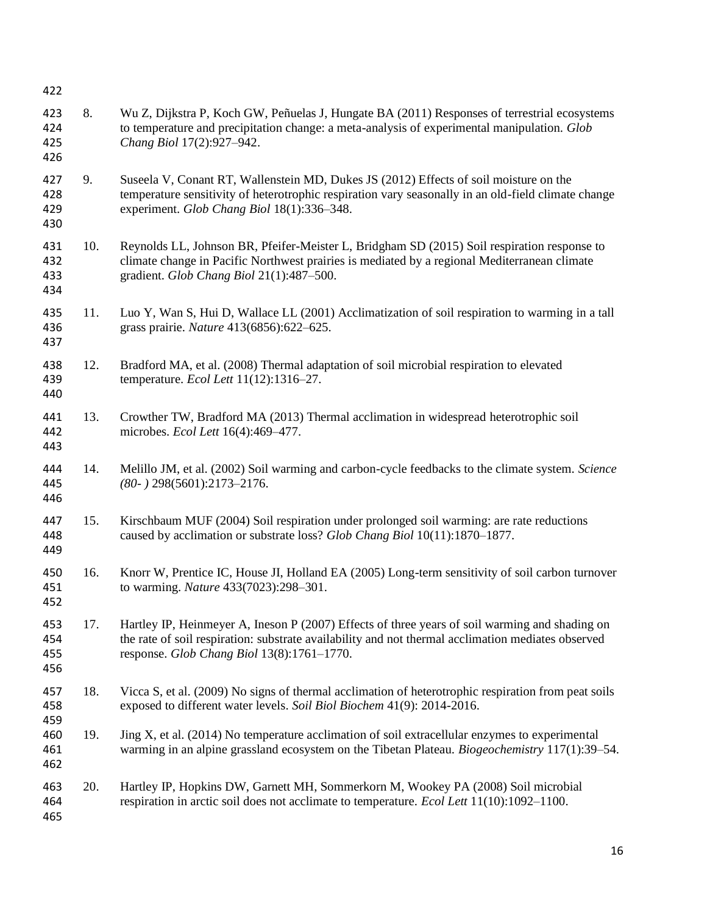| 422                      |     |                                                                                                                                                                                                                                                    |
|--------------------------|-----|----------------------------------------------------------------------------------------------------------------------------------------------------------------------------------------------------------------------------------------------------|
| 423<br>424<br>425<br>426 | 8.  | Wu Z, Dijkstra P, Koch GW, Peñuelas J, Hungate BA (2011) Responses of terrestrial ecosystems<br>to temperature and precipitation change: a meta-analysis of experimental manipulation. Glob<br>Chang Biol 17(2):927-942.                           |
| 427<br>428<br>429<br>430 | 9.  | Suseela V, Conant RT, Wallenstein MD, Dukes JS (2012) Effects of soil moisture on the<br>temperature sensitivity of heterotrophic respiration vary seasonally in an old-field climate change<br>experiment. Glob Chang Biol 18(1):336-348.         |
| 431<br>432<br>433<br>434 | 10. | Reynolds LL, Johnson BR, Pfeifer-Meister L, Bridgham SD (2015) Soil respiration response to<br>climate change in Pacific Northwest prairies is mediated by a regional Mediterranean climate<br>gradient. Glob Chang Biol 21(1):487-500.            |
| 435<br>436<br>437        | 11. | Luo Y, Wan S, Hui D, Wallace LL (2001) Acclimatization of soil respiration to warming in a tall<br>grass prairie. Nature 413(6856):622-625.                                                                                                        |
| 438<br>439<br>440        | 12. | Bradford MA, et al. (2008) Thermal adaptation of soil microbial respiration to elevated<br>temperature. Ecol Lett 11(12):1316-27.                                                                                                                  |
| 441<br>442<br>443        | 13. | Crowther TW, Bradford MA (2013) Thermal acclimation in widespread heterotrophic soil<br>microbes. Ecol Lett 16(4):469-477.                                                                                                                         |
| 444<br>445<br>446        | 14. | Melillo JM, et al. (2002) Soil warming and carbon-cycle feedbacks to the climate system. Science<br>$(80-)$ 298(5601):2173-2176.                                                                                                                   |
| 447<br>448<br>449        | 15. | Kirschbaum MUF (2004) Soil respiration under prolonged soil warming: are rate reductions<br>caused by acclimation or substrate loss? Glob Chang Biol 10(11):1870-1877.                                                                             |
| 450<br>451<br>452        | 16. | Knorr W, Prentice IC, House JI, Holland EA (2005) Long-term sensitivity of soil carbon turnover<br>to warming. Nature 433(7023):298-301.                                                                                                           |
| 453<br>454<br>455<br>456 | 17. | Hartley IP, Heinmeyer A, Ineson P (2007) Effects of three years of soil warming and shading on<br>the rate of soil respiration: substrate availability and not thermal acclimation mediates observed<br>response. Glob Chang Biol 13(8):1761-1770. |
| 457<br>458<br>459        | 18. | Vicca S, et al. (2009) No signs of thermal acclimation of heterotrophic respiration from peat soils<br>exposed to different water levels. Soil Biol Biochem 41(9): 2014-2016.                                                                      |
| 460<br>461<br>462        | 19. | Jing X, et al. (2014) No temperature acclimation of soil extracellular enzymes to experimental<br>warming in an alpine grassland ecosystem on the Tibetan Plateau. Biogeochemistry 117(1):39-54.                                                   |
| 463<br>464<br>465        | 20. | Hartley IP, Hopkins DW, Garnett MH, Sommerkorn M, Wookey PA (2008) Soil microbial<br>respiration in arctic soil does not acclimate to temperature. <i>Ecol Lett</i> 11(10):1092–1100.                                                              |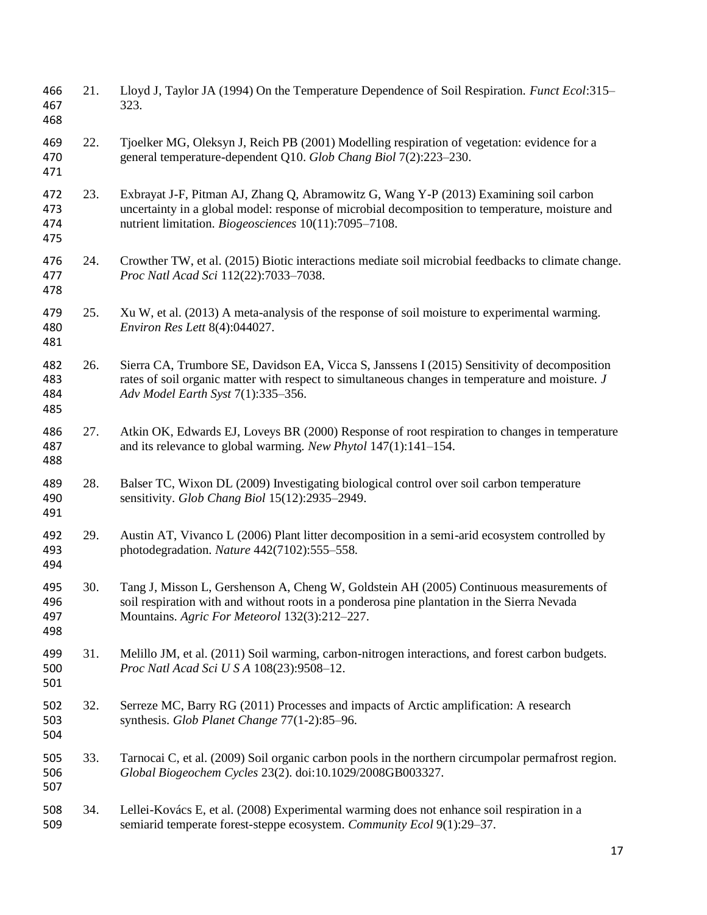| 466<br>467<br>468        | 21. | Lloyd J, Taylor JA (1994) On the Temperature Dependence of Soil Respiration. <i>Funct Ecol</i> :315–<br>323.                                                                                                                                      |
|--------------------------|-----|---------------------------------------------------------------------------------------------------------------------------------------------------------------------------------------------------------------------------------------------------|
| 469<br>470<br>471        | 22. | Tjoelker MG, Oleksyn J, Reich PB (2001) Modelling respiration of vegetation: evidence for a<br>general temperature-dependent Q10. Glob Chang Biol 7(2):223-230.                                                                                   |
| 472<br>473<br>474<br>475 | 23. | Exbrayat J-F, Pitman AJ, Zhang Q, Abramowitz G, Wang Y-P (2013) Examining soil carbon<br>uncertainty in a global model: response of microbial decomposition to temperature, moisture and<br>nutrient limitation. Biogeosciences 10(11):7095-7108. |
| 476<br>477<br>478        | 24. | Crowther TW, et al. (2015) Biotic interactions mediate soil microbial feedbacks to climate change.<br>Proc Natl Acad Sci 112(22):7033-7038.                                                                                                       |
| 479<br>480<br>481        | 25. | Xu W, et al. (2013) A meta-analysis of the response of soil moisture to experimental warming.<br>Environ Res Lett 8(4):044027.                                                                                                                    |
| 482<br>483<br>484<br>485 | 26. | Sierra CA, Trumbore SE, Davidson EA, Vicca S, Janssens I (2015) Sensitivity of decomposition<br>rates of soil organic matter with respect to simultaneous changes in temperature and moisture. J<br>Adv Model Earth Syst 7(1):335-356.            |
| 486<br>487<br>488        | 27. | Atkin OK, Edwards EJ, Loveys BR (2000) Response of root respiration to changes in temperature<br>and its relevance to global warming. New Phytol 147(1):141-154.                                                                                  |
| 489<br>490<br>491        | 28. | Balser TC, Wixon DL (2009) Investigating biological control over soil carbon temperature<br>sensitivity. Glob Chang Biol 15(12):2935-2949.                                                                                                        |
| 492<br>493<br>494        | 29. | Austin AT, Vivanco L (2006) Plant litter decomposition in a semi-arid ecosystem controlled by<br>photodegradation. Nature 442(7102):555-558.                                                                                                      |
| 495<br>496<br>497<br>498 | 30. | Tang J, Misson L, Gershenson A, Cheng W, Goldstein AH (2005) Continuous measurements of<br>soil respiration with and without roots in a ponderosa pine plantation in the Sierra Nevada<br>Mountains. Agric For Meteorol 132(3):212-227.           |
| 499<br>500<br>501        | 31. | Melillo JM, et al. (2011) Soil warming, carbon-nitrogen interactions, and forest carbon budgets.<br>Proc Natl Acad Sci U S A 108(23):9508-12.                                                                                                     |
| 502<br>503<br>504        | 32. | Serreze MC, Barry RG (2011) Processes and impacts of Arctic amplification: A research<br>synthesis. Glob Planet Change 77(1-2):85-96.                                                                                                             |
| 505<br>506<br>507        | 33. | Tarnocai C, et al. (2009) Soil organic carbon pools in the northern circumpolar permafrost region.<br>Global Biogeochem Cycles 23(2). doi:10.1029/2008GB003327.                                                                                   |
| 508<br>509               | 34. | Lellei-Kovács E, et al. (2008) Experimental warming does not enhance soil respiration in a<br>semiarid temperate forest-steppe ecosystem. Community Ecol 9(1):29-37.                                                                              |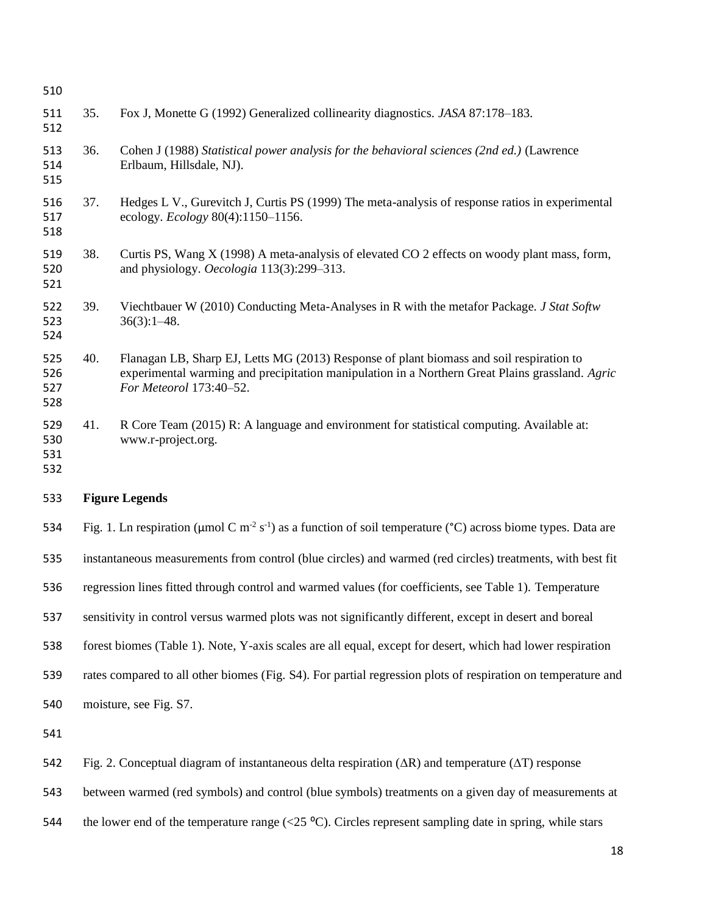| 510                      |                                                                                                                                            |                                                                                                                                                                                                                        |  |
|--------------------------|--------------------------------------------------------------------------------------------------------------------------------------------|------------------------------------------------------------------------------------------------------------------------------------------------------------------------------------------------------------------------|--|
| 511<br>512               | 35.                                                                                                                                        | Fox J, Monette G (1992) Generalized collinearity diagnostics. JASA 87:178-183.                                                                                                                                         |  |
| 513<br>514<br>515        | 36.                                                                                                                                        | Cohen J (1988) Statistical power analysis for the behavioral sciences (2nd ed.) (Lawrence<br>Erlbaum, Hillsdale, NJ).                                                                                                  |  |
| 516<br>517<br>518        | 37.                                                                                                                                        | Hedges L V., Gurevitch J, Curtis PS (1999) The meta-analysis of response ratios in experimental<br>ecology. <i>Ecology</i> 80(4):1150-1156.                                                                            |  |
| 519<br>520<br>521        | 38.                                                                                                                                        | Curtis PS, Wang X (1998) A meta-analysis of elevated CO 2 effects on woody plant mass, form,<br>and physiology. Oecologia 113(3):299-313.                                                                              |  |
| 522<br>523<br>524        | 39.                                                                                                                                        | Viechtbauer W (2010) Conducting Meta-Analyses in R with the metafor Package. J Stat Softw<br>$36(3):1-48.$                                                                                                             |  |
| 525<br>526<br>527<br>528 | 40.                                                                                                                                        | Flanagan LB, Sharp EJ, Letts MG (2013) Response of plant biomass and soil respiration to<br>experimental warming and precipitation manipulation in a Northern Great Plains grassland. Agric<br>For Meteorol 173:40-52. |  |
| 529<br>530<br>531<br>532 | 41.                                                                                                                                        | R Core Team (2015) R: A language and environment for statistical computing. Available at:<br>www.r-project.org.                                                                                                        |  |
| 533                      | <b>Figure Legends</b>                                                                                                                      |                                                                                                                                                                                                                        |  |
| 534                      | Fig. 1. Ln respiration ( $\mu$ mol C m <sup>-2</sup> s <sup>-1</sup> ) as a function of soil temperature (°C) across biome types. Data are |                                                                                                                                                                                                                        |  |

instantaneous measurements from control (blue circles) and warmed (red circles) treatments, with best fit

- regression lines fitted through control and warmed values (for coefficients, see Table 1). Temperature
- sensitivity in control versus warmed plots was not significantly different, except in desert and boreal
- forest biomes (Table 1). Note, Y-axis scales are all equal, except for desert, which had lower respiration
- rates compared to all other biomes (Fig. S4). For partial regression plots of respiration on temperature and
- moisture, see Fig. S7.

- Fig. 2. Conceptual diagram of instantaneous delta respiration (∆R) and temperature (∆T) response
- between warmed (red symbols) and control (blue symbols) treatments on a given day of measurements at
- 544 the lower end of the temperature range ( $\langle 25 \text{ °C} \rangle$ ). Circles represent sampling date in spring, while stars